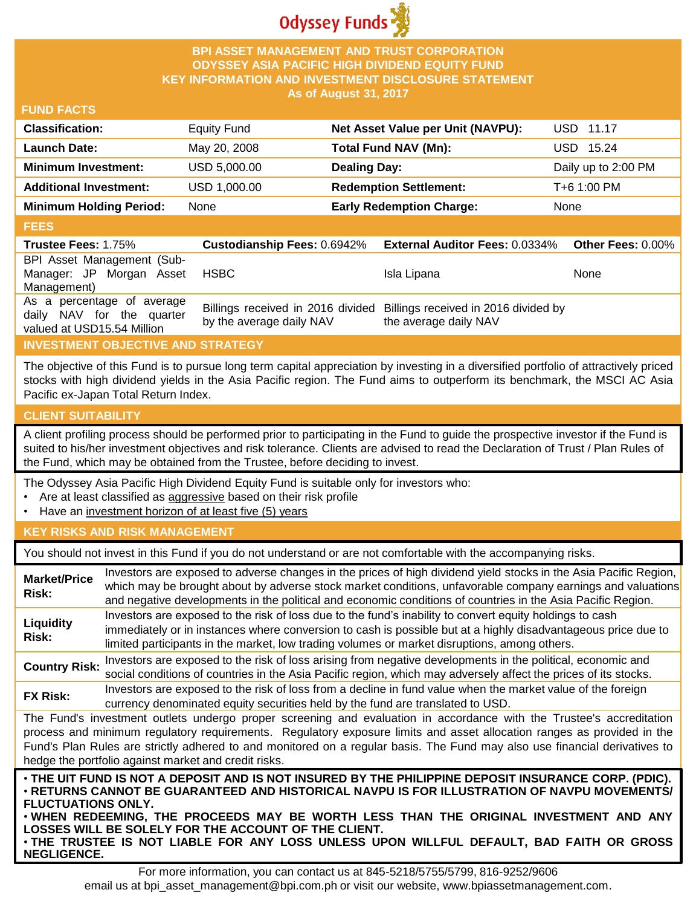

## **BPI ASSET MANAGEMENT AND TRUST CORPORATION ODYSSEY ASIA PACIFIC HIGH DIVIDEND EQUITY FUND KEY INFORMATION AND INVESTMENT DISCLOSURE STATEMENT As of August 31, 2017**

## **FUND FACTS**

| <b>Classification:</b>         | <b>Equity Fund</b> | Net Asset Value per Unit (NAVPU): | USD 11.17           |
|--------------------------------|--------------------|-----------------------------------|---------------------|
| <b>Launch Date:</b>            | May 20, 2008       | Total Fund NAV (Mn):              | USD 15.24           |
| <b>Minimum Investment:</b>     | USD 5,000.00       | <b>Dealing Day:</b>               | Daily up to 2:00 PM |
| <b>Additional Investment:</b>  | USD 1,000.00       | <b>Redemption Settlement:</b>     | T+6 1:00 PM         |
| <b>Minimum Holding Period:</b> | None               | <b>Early Redemption Charge:</b>   | None                |

#### **FEES**

| <b>Trustee Fees: 1.75%</b> | <b>Custodianship Fees: 0.6942%</b> | <b>External Auditor Fees: 0.0334%</b>                                  | <b>Other Fees: 0.00%</b> |
|----------------------------|------------------------------------|------------------------------------------------------------------------|--------------------------|
| BPI Asset Management (Sub- |                                    |                                                                        |                          |
| Manager: JP Morgan Asset   | <b>HSBC</b>                        | Isla Lipana                                                            | None                     |
| Management)                |                                    |                                                                        |                          |
| As a percentage of average |                                    | Billings received in 2016 divided Billings received in 2016 divided by |                          |
| daily NAV for the quarter  | by the average daily NAV           | the average daily NAV                                                  |                          |
| valued at USD15.54 Million |                                    |                                                                        |                          |

## **INVESTMENT OBJECTIVE AND STRATEGY**

The objective of this Fund is to pursue long term capital appreciation by investing in a diversified portfolio of attractively priced stocks with high dividend yields in the Asia Pacific region. The Fund aims to outperform its benchmark, the MSCI AC Asia Pacific ex-Japan Total Return Index.

## **CLIENT SUITABILITY**

**NEGLIGENCE.**

A client profiling process should be performed prior to participating in the Fund to guide the prospective investor if the Fund is suited to his/her investment objectives and risk tolerance. Clients are advised to read the Declaration of Trust / Plan Rules of the Fund, which may be obtained from the Trustee, before deciding to invest.

The Odyssey Asia Pacific High Dividend Equity Fund is suitable only for investors who:

- Are at least classified as aggressive based on their risk profile
- Have an investment horizon of at least five (5) years

## **KEY RISKS AND RISK MANAGEMENT**

You should not invest in this Fund if you do not understand or are not comfortable with the accompanying risks.

| <b>Market/Price</b><br>Risk:                                                                                                                                                                                                                                                                                                                                                                                                                                                 | Investors are exposed to adverse changes in the prices of high dividend yield stocks in the Asia Pacific Region,<br>which may be brought about by adverse stock market conditions, unfavorable company earnings and valuations<br>and negative developments in the political and economic conditions of countries in the Asia Pacific Region. |  |
|------------------------------------------------------------------------------------------------------------------------------------------------------------------------------------------------------------------------------------------------------------------------------------------------------------------------------------------------------------------------------------------------------------------------------------------------------------------------------|-----------------------------------------------------------------------------------------------------------------------------------------------------------------------------------------------------------------------------------------------------------------------------------------------------------------------------------------------|--|
| Liquidity<br>Risk:                                                                                                                                                                                                                                                                                                                                                                                                                                                           | Investors are exposed to the risk of loss due to the fund's inability to convert equity holdings to cash<br>immediately or in instances where conversion to cash is possible but at a highly disadvantageous price due to<br>limited participants in the market, low trading volumes or market disruptions, among others.                     |  |
| <b>Country Risk:</b>                                                                                                                                                                                                                                                                                                                                                                                                                                                         | Investors are exposed to the risk of loss arising from negative developments in the political, economic and<br>social conditions of countries in the Asia Pacific region, which may adversely affect the prices of its stocks.                                                                                                                |  |
| <b>FX Risk:</b>                                                                                                                                                                                                                                                                                                                                                                                                                                                              | Investors are exposed to the risk of loss from a decline in fund value when the market value of the foreign<br>currency denominated equity securities held by the fund are translated to USD.                                                                                                                                                 |  |
| The Fund's investment outlets undergo proper screening and evaluation in accordance with the Trustee's accreditation<br>process and minimum regulatory requirements. Regulatory exposure limits and asset allocation ranges as provided in the<br>Fund's Plan Rules are strictly adhered to and monitored on a regular basis. The Fund may also use financial derivatives to<br>hedge the portfolio against market and credit risks.                                         |                                                                                                                                                                                                                                                                                                                                               |  |
| . THE UIT FUND IS NOT A DEPOSIT AND IS NOT INSURED BY THE PHILIPPINE DEPOSIT INSURANCE CORP. (PDIC).<br>⋅RETURNS CANNOT BE GUARANTEED AND HISTORICAL NAVPU IS FOR ILLUSTRATION OF NAVPU MOVEMENTS/<br><b>FLUCTUATIONS ONLY.</b><br>. WHEN REDEEMING, THE PROCEEDS MAY BE WORTH LESS THAN THE ORIGINAL INVESTMENT AND ANY<br>LOSSES WILL BE SOLELY FOR THE ACCOUNT OF THE CLIENT.<br>. THE TRUSTEE IS NOT LIABLE FOR ANY LOSS UNLESS UPON WILLFUL DEFAULT, BAD FAITH OR GROSS |                                                                                                                                                                                                                                                                                                                                               |  |

For more information, you can contact us at 845-5218/5755/5799, 816-9252/9606 email us at bpi\_asset\_management@bpi.com.ph or visit our website, www.bpiassetmanagement.com.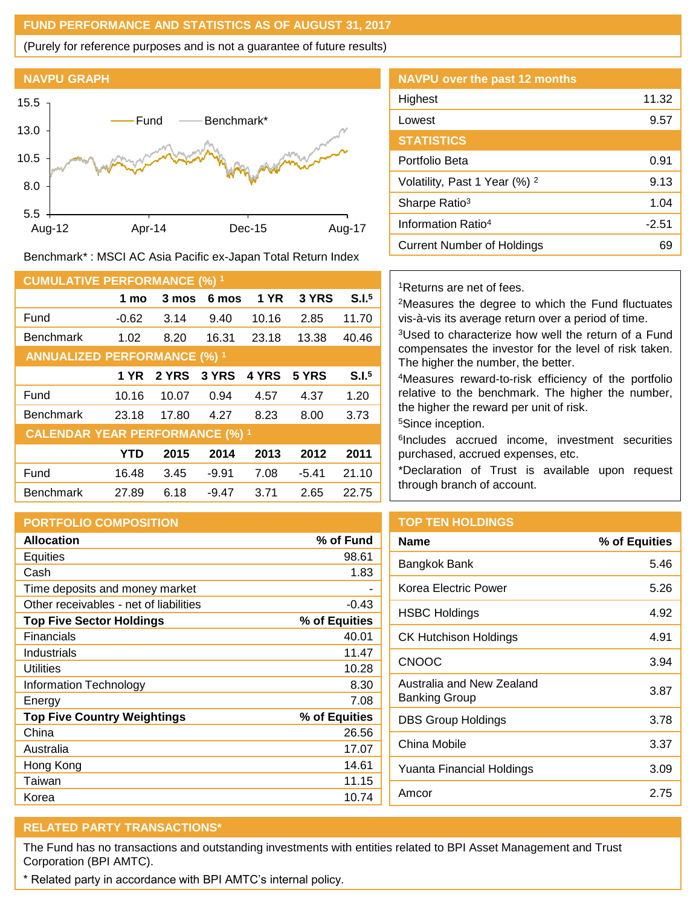## **FUND PERFORMANCE AND STATISTICS AS OF AUGUST 31, 2017**

(Purely for reference purposes and is not a guarantee of future results)



Benchmark\* : MSCI AC Asia Pacific ex-Japan Total Return Index

| <b>CUMULATIVE PERFORMANCE (%) 1</b>    |            |       |         |              |         |                   |
|----------------------------------------|------------|-------|---------|--------------|---------|-------------------|
|                                        | 1 mo       | 3 mos | 6 mos   | <b>1 YR</b>  | 3 YRS   | S.I. <sup>5</sup> |
| Fund                                   | $-0.62$    | 3.14  | 9.40    | 10.16        | 2.85    | 11.70             |
| <b>Benchmark</b>                       | 1.02       | 8.20  | 16.31   | 23.18        | 13.38   | 40.46             |
| <b>ANNUALIZED PERFORMANCE (%) 1</b>    |            |       |         |              |         |                   |
|                                        | 1 YR       | 2 YRS | 3 YRS   | <b>4 YRS</b> | 5 YRS   | S.I. <sup>5</sup> |
| Fund                                   | 10.16      | 10.07 | 0.94    | 4.57         | 4.37    | 1.20              |
| <b>Benchmark</b>                       | 23.18      | 17.80 | 4.27    | 8.23         | 8.00    | 3.73              |
| <b>CALENDAR YEAR PERFORMANCE (%) 1</b> |            |       |         |              |         |                   |
|                                        | <b>YTD</b> | 2015  | 2014    | 2013         | 2012    | 2011              |
| Fund                                   | 16.48      | 3.45  | $-9.91$ | 7.08         | $-5.41$ | 21.10             |
| <b>Benchmark</b>                       | 27.89      | 6.18  | $-9.47$ | 3.71         | 2.65    | 22.75             |

#### **PORTFOLIO COMPOSITION**

| <b>Allocation</b>                      | % of Fund     |
|----------------------------------------|---------------|
| Equities                               | 98.61         |
| Cash                                   | 1.83          |
| Time deposits and money market         |               |
| Other receivables - net of liabilities | $-0.43$       |
| <b>Top Five Sector Holdings</b>        | % of Equities |
| Financials                             | 40.01         |
| Industrials                            | 11.47         |
| Utilities                              | 10.28         |
| Information Technology                 | 8.30          |
| Energy                                 | 7.08          |
| <b>Top Five Country Weightings</b>     | % of Equities |
| China                                  | 26.56         |
| Australia                              | 17.07         |
| Hong Kong                              | 14.61         |
| Taiwan                                 | 11.15         |
| Korea                                  | 10.74         |

# **NAVPU over the past 12 months** Highest 11.32 Lowest 9.57 **STATISTICS** Portfolio Beta 0.91 Volatility, Past 1 Year  $(\%)$  <sup>2</sup> 9.13 Sharpe Ratio<sup>3</sup> 1.04 Information Ratio<sup>4</sup> and 12.51 Current Number of Holdings 69

## <sup>1</sup>Returns are net of fees.

<sup>2</sup>Measures the degree to which the Fund fluctuates vis-à-vis its average return over a period of time.

<sup>3</sup>Used to characterize how well the return of a Fund compensates the investor for the level of risk taken. The higher the number, the better.

<sup>4</sup>Measures reward-to-risk efficiency of the portfolio relative to the benchmark. The higher the number, the higher the reward per unit of risk.

<sup>5</sup>Since inception.

6 Includes accrued income, investment securities purchased, accrued expenses, etc.

\*Declaration of Trust is available upon request through branch of account.

## **TOP TEN HOLDINGS**

| % of Equities |
|---------------|
| 5.46          |
| 5.26          |
| 4.92          |
| 4.91          |
| 3.94          |
| 3.87          |
| 3.78          |
| 3.37          |
| 3.09          |
| 2.75          |
|               |

# **RELATED PARTY TRANSACTIONS\***

The Fund has no transactions and outstanding investments with entities related to BPI Asset Management and Trust Corporation (BPI AMTC).

\* Related party in accordance with BPI AMTC's internal policy.